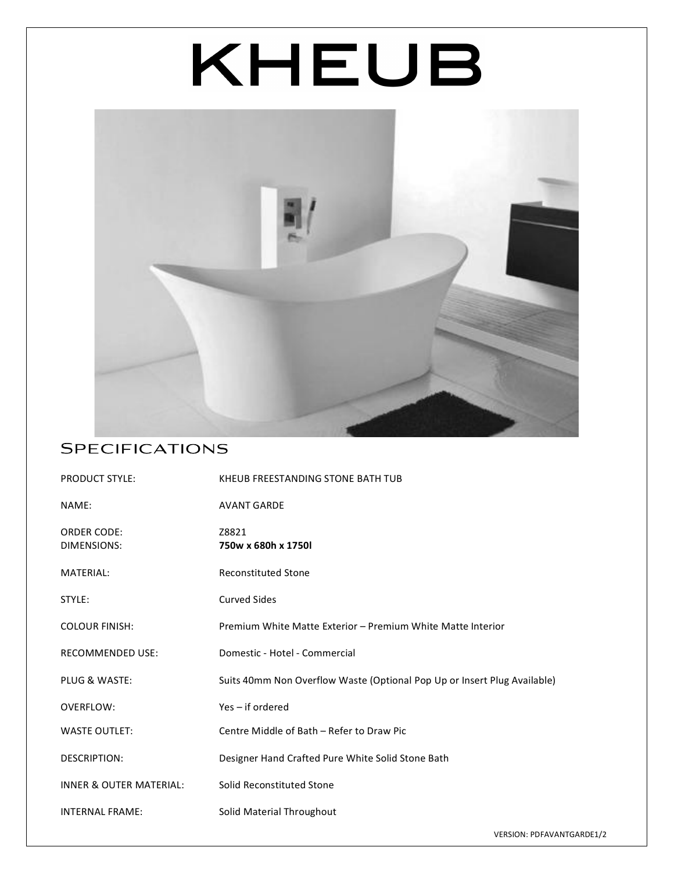# KHEUB



#### **SPECIFICATIONS**

| <b>PRODUCT STYLE:</b>              | KHEUB FREESTANDING STONE BATH TUB                                        |
|------------------------------------|--------------------------------------------------------------------------|
| NAME:                              | <b>AVANT GARDE</b>                                                       |
| <b>ORDER CODE:</b><br>DIMENSIONS:  | Z8821<br>750w x 680h x 1750l                                             |
| <b>MATERIAL:</b>                   | <b>Reconstituted Stone</b>                                               |
| STYLE:                             | <b>Curved Sides</b>                                                      |
| <b>COLOUR FINISH:</b>              | Premium White Matte Exterior - Premium White Matte Interior              |
| <b>RECOMMENDED USE:</b>            | Domestic - Hotel - Commercial                                            |
| PLUG & WASTE:                      | Suits 40mm Non Overflow Waste (Optional Pop Up or Insert Plug Available) |
| <b>OVERFLOW:</b>                   | Yes – if ordered                                                         |
| <b>WASTE OUTLET:</b>               | Centre Middle of Bath - Refer to Draw Pic                                |
| <b>DESCRIPTION:</b>                | Designer Hand Crafted Pure White Solid Stone Bath                        |
| <b>INNER &amp; OUTER MATERIAL:</b> | Solid Reconstituted Stone                                                |
| <b>INTERNAL FRAME:</b>             | Solid Material Throughout                                                |